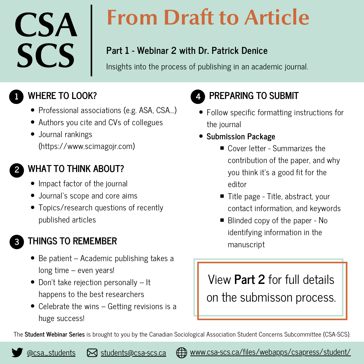# CSA **SCS**

# From Draft to Article

## **Part 1 - Webinar 2 with Dr. Patrick Denice**

Insights into the process of publishing in an academic journal.

## **WHERE TO LOOK?**

- Professional associations (e.g. ASA, CSA...)
- Authors you cite and CVs of collegues
- Journal rankings (https://www.scimagojr.com)

### **2**

**1**

### **WHAT TO THINK ABOUT?**

- Impact factor of the journal
- Journal's scope and core aims
- Topics/research questions of recently published articles

**2 3**

# manuscript **THINGS TO REMEMBER**

- Be patient Academic publishing takes a long time – even years!
- Don't take rejection personally It happens to the best researchers
- Celebrate the wins Getting revisions is a huge success!

**4**

# **PREPARING TO SUBMIT**

- Follow specific formatting instructions for the journal
- **Submission Package**
	- Cover letter Summarizes the contribution of the paper, and why you think it's a good fit for the editor
	- Title page Title, abstract, your contact information, and keywords
	- Blinded copy of the paper No identifying information in the

# View **Part 2** for full details on the submisson process.

The **Student Webinar Series** is brought to you by the Canadian Sociological Association Student Concerns Subcommittee (CSA-SCS).